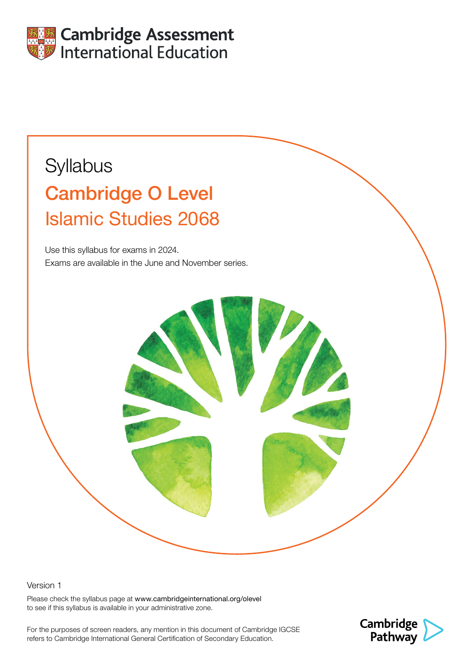

# **Syllabus** Cambridge O Level Islamic Studies 2068

Use this syllabus for exams in 2024. Exams are available in the June and November series.

#### Version 1

Please check the syllabus page at www.cambridgeinternational.org/olevel to see if this syllabus is available in your administrative zone.

For the purposes of screen readers, any mention in this document of Cambridge IGCSE refers to Cambridge International General Certification of Secondary Education.

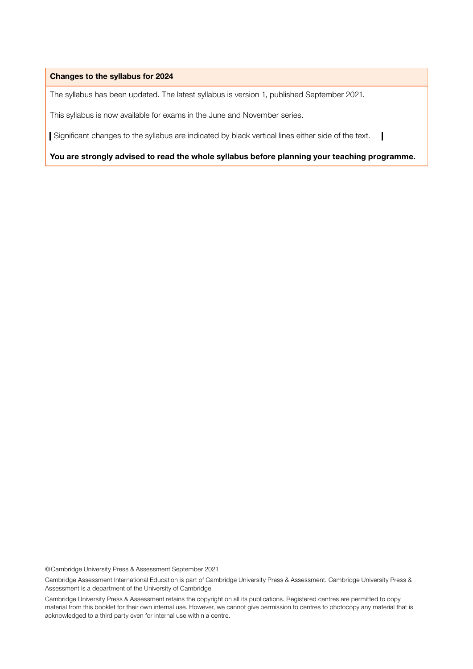#### Changes to the syllabus for 2024

The syllabus has been updated. The latest syllabus is version 1, published September 2021.

This syllabus is now available for exams in the June and November series.

Significant changes to the syllabus are indicated by black vertical lines either side of the text.

You are strongly advised to read the whole syllabus before planning your teaching programme.

©Cambridge University Press & Assessment September 2021

Cambridge Assessment International Education is part of Cambridge University Press & Assessment. Cambridge University Press & Assessment is a department of the University of Cambridge.

Cambridge University Press & Assessment retains the copyright on all its publications. Registered centres are permitted to copy material from this booklet for their own internal use. However, we cannot give permission to centres to photocopy any material that is acknowledged to a third party even for internal use within a centre.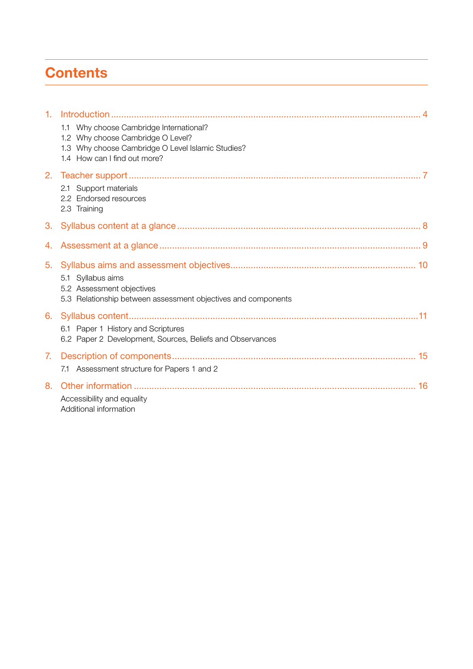## **Contents**

| 1. |                                                                                                 |
|----|-------------------------------------------------------------------------------------------------|
|    | 1.1 Why choose Cambridge International?<br>1.2 Why choose Cambridge O Level?                    |
|    | 1.3 Why choose Cambridge O Level Islamic Studies?                                               |
|    | 1.4 How can I find out more?                                                                    |
| 2. |                                                                                                 |
|    | Support materials<br>2.1                                                                        |
|    | 2.2 Endorsed resources                                                                          |
|    | 2.3 Training                                                                                    |
| 3. |                                                                                                 |
| 4. |                                                                                                 |
| 5. |                                                                                                 |
|    | 5.1 Syllabus aims                                                                               |
|    | 5.2 Assessment objectives<br>5.3 Relationship between assessment objectives and components      |
|    |                                                                                                 |
| 6. |                                                                                                 |
|    | 6.1 Paper 1 History and Scriptures<br>6.2 Paper 2 Development, Sources, Beliefs and Observances |
|    |                                                                                                 |
| 7. |                                                                                                 |
|    | 7.1 Assessment structure for Papers 1 and 2                                                     |
| 8. |                                                                                                 |
|    | Accessibility and equality                                                                      |
|    | Additional information                                                                          |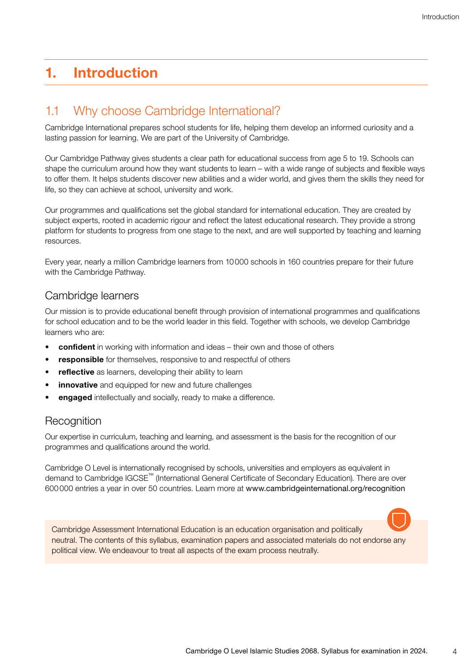## <span id="page-3-0"></span>1. Introduction

### 1.1 Why choose Cambridge International?

Cambridge International prepares school students for life, helping them develop an informed curiosity and a lasting passion for learning. We are part of the University of Cambridge.

Our Cambridge Pathway gives students a clear path for educational success from age 5 to 19. Schools can shape the curriculum around how they want students to learn – with a wide range of subjects and flexible ways to offer them. It helps students discover new abilities and a wider world, and gives them the skills they need for life, so they can achieve at school, university and work.

Our programmes and qualifications set the global standard for international education. They are created by subject experts, rooted in academic rigour and reflect the latest educational research. They provide a strong platform for students to progress from one stage to the next, and are well supported by teaching and learning resources.

Every year, nearly a million Cambridge learners from 10000 schools in 160 countries prepare for their future with the Cambridge Pathway.

#### Cambridge learners

Our mission is to provide educational benefit through provision of international programmes and qualifications for school education and to be the world leader in this field. Together with schools, we develop Cambridge learners who are:

- **confident** in working with information and ideas their own and those of others
- responsible for themselves, responsive to and respectful of others
- reflective as learners, developing their ability to learn
- innovative and equipped for new and future challenges
- engaged intellectually and socially, ready to make a difference.

#### **Recognition**

Our expertise in curriculum, teaching and learning, and assessment is the basis for the recognition of our programmes and qualifications around the world.

Cambridge O Level is internationally recognised by schools, universities and employers as equivalent in demand to Cambridge IGCSE™ (International General Certificate of Secondary Education). There are over 600000 entries a year in over 50 countries. Learn more at www.cambridgeinternational.org/recognition

Cambridge Assessment International Education is an education organisation and politically neutral. The contents of this syllabus, examination papers and associated materials do not endorse any political view. We endeavour to treat all aspects of the exam process neutrally.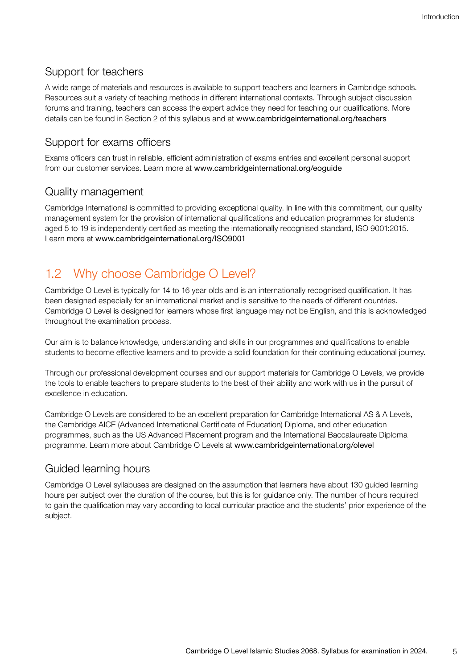#### <span id="page-4-0"></span>Support for teachers

A wide range of materials and resources is available to support teachers and learners in Cambridge schools. Resources suit a variety of teaching methods in different international contexts. Through subject discussion forums and training, teachers can access the expert advice they need for teaching our qualifications. More details can be found in Section 2 of this syllabus and at www.cambridgeinternational.org/teachers

#### Support for exams officers

Exams officers can trust in reliable, efficient administration of exams entries and excellent personal support from our customer services. Learn more at www.cambridgeinternational.org/eoguide

#### Quality management

Cambridge International is committed to providing exceptional quality. In line with this commitment, our quality management system for the provision of international qualifications and education programmes for students aged 5 to 19 is independently certified as meeting the internationally recognised standard, ISO 9001:2015. Learn more at www.cambridgeinternational.org/ISO9001

### 1.2 Why choose Cambridge O Level?

Cambridge O Level is typically for 14 to 16 year olds and is an internationally recognised qualification. It has been designed especially for an international market and is sensitive to the needs of different countries. Cambridge O Level is designed for learners whose first language may not be English, and this is acknowledged throughout the examination process.

Our aim is to balance knowledge, understanding and skills in our programmes and qualifications to enable students to become effective learners and to provide a solid foundation for their continuing educational journey.

Through our professional development courses and our support materials for Cambridge O Levels, we provide the tools to enable teachers to prepare students to the best of their ability and work with us in the pursuit of excellence in education.

Cambridge O Levels are considered to be an excellent preparation for Cambridge International AS & A Levels, the Cambridge AICE (Advanced International Certificate of Education) Diploma, and other education programmes, such as the US Advanced Placement program and the International Baccalaureate Diploma programme. Learn more about Cambridge O Levels at www.cambridgeinternational.org/olevel

### Guided learning hours

Cambridge O Level syllabuses are designed on the assumption that learners have about 130 guided learning hours per subject over the duration of the course, but this is for guidance only. The number of hours required to gain the qualification may vary according to local curricular practice and the students' prior experience of the subject.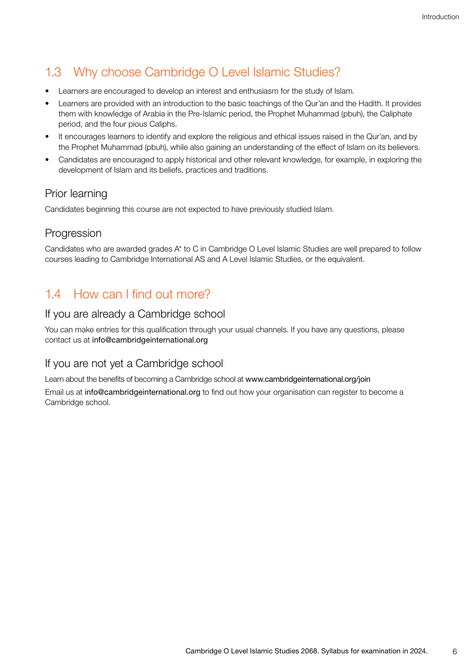## <span id="page-5-0"></span>1.3 Why choose Cambridge O Level Islamic Studies?

- Learners are encouraged to develop an interest and enthusiasm for the study of Islam.
- Learners are provided with an introduction to the basic teachings of the Qur'an and the Hadith. It provides them with knowledge of Arabia in the Pre-Islamic period, the Prophet Muhammad (pbuh), the Caliphate period, and the four pious Caliphs.
- It encourages learners to identify and explore the religious and ethical issues raised in the Qur'an, and by the Prophet Muhammad (pbuh), while also gaining an understanding of the effect of Islam on its believers.
- Candidates are encouraged to apply historical and other relevant knowledge, for example, in exploring the development of Islam and its beliefs, practices and traditions.

#### Prior learning

Candidates beginning this course are not expected to have previously studied Islam.

#### Progression

Candidates who are awarded grades A\* to C in Cambridge O Level Islamic Studies are well prepared to follow courses leading to Cambridge International AS and A Level Islamic Studies, or the equivalent.

### 1.4 How can I find out more?

#### If you are already a Cambridge school

You can make entries for this qualification through your usual channels. If you have any questions, please contact us at info@cambridgeinternational.org

#### If you are not yet a Cambridge school

Learn about the benefits of becoming a Cambridge school at www.cambridgeinternational.org/join

Email us at info@cambridgeinternational.org to find out how your organisation can register to become a Cambridge school.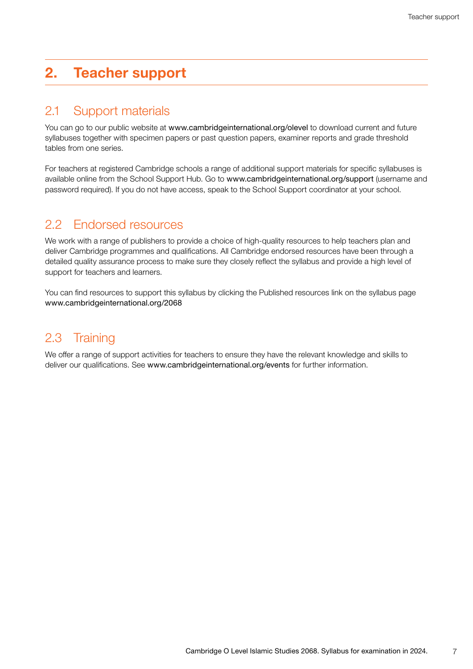## <span id="page-6-0"></span>2. Teacher support

### 2.1 Support materials

You can go to our public website at www.cambridgeinternational.org/olevel to download current and future syllabuses together with specimen papers or past question papers, examiner reports and grade threshold tables from one series.

For teachers at registered Cambridge schools a range of additional support materials for specific syllabuses is available online from the School Support Hub. Go to www.cambridgeinternational.org/support (username and password required). If you do not have access, speak to the School Support coordinator at your school.

### 2.2 Endorsed resources

We work with a range of publishers to provide a choice of high-quality resources to help teachers plan and deliver Cambridge programmes and qualifications. All Cambridge endorsed resources have been through a detailed quality assurance process to make sure they closely reflect the syllabus and provide a high level of support for teachers and learners.

You can find resources to support this syllabus by clicking the Published resources link on the syllabus page www.cambridgeinternational.org/2068

### 2.3 Training

We offer a range of support activities for teachers to ensure they have the relevant knowledge and skills to deliver our qualifications. See www.cambridgeinternational.org/events for further information.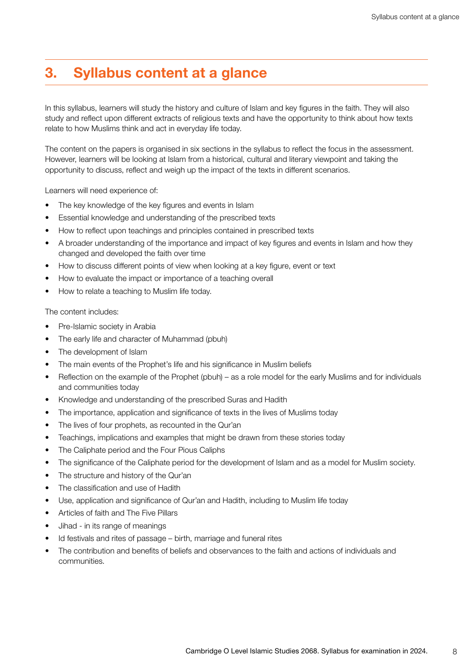## <span id="page-7-0"></span>3. Syllabus content at a glance

In this syllabus, learners will study the history and culture of Islam and key figures in the faith. They will also study and reflect upon different extracts of religious texts and have the opportunity to think about how texts relate to how Muslims think and act in everyday life today.

The content on the papers is organised in six sections in the syllabus to reflect the focus in the assessment. However, learners will be looking at Islam from a historical, cultural and literary viewpoint and taking the opportunity to discuss, reflect and weigh up the impact of the texts in different scenarios.

Learners will need experience of:

- The key knowledge of the key figures and events in Islam
- Essential knowledge and understanding of the prescribed texts
- How to reflect upon teachings and principles contained in prescribed texts
- A broader understanding of the importance and impact of key figures and events in Islam and how they changed and developed the faith over time
- How to discuss different points of view when looking at a key figure, event or text
- How to evaluate the impact or importance of a teaching overall
- How to relate a teaching to Muslim life today.

The content includes:

- Pre-Islamic society in Arabia
- The early life and character of Muhammad (pbuh)
- The development of Islam
- The main events of the Prophet's life and his significance in Muslim beliefs
- Reflection on the example of the Prophet (pbuh) as a role model for the early Muslims and for individuals and communities today
- Knowledge and understanding of the prescribed Suras and Hadith
- The importance, application and significance of texts in the lives of Muslims today
- The lives of four prophets, as recounted in the Qur'an
- Teachings, implications and examples that might be drawn from these stories today
- The Caliphate period and the Four Pious Caliphs
- The significance of the Caliphate period for the development of Islam and as a model for Muslim society.
- The structure and history of the Qur'an
- The classification and use of Hadith
- Use, application and significance of Qur'an and Hadith, including to Muslim life today
- Articles of faith and The Five Pillars
- Jihad in its range of meanings
- Id festivals and rites of passage birth, marriage and funeral rites
- The contribution and benefits of beliefs and observances to the faith and actions of individuals and communities.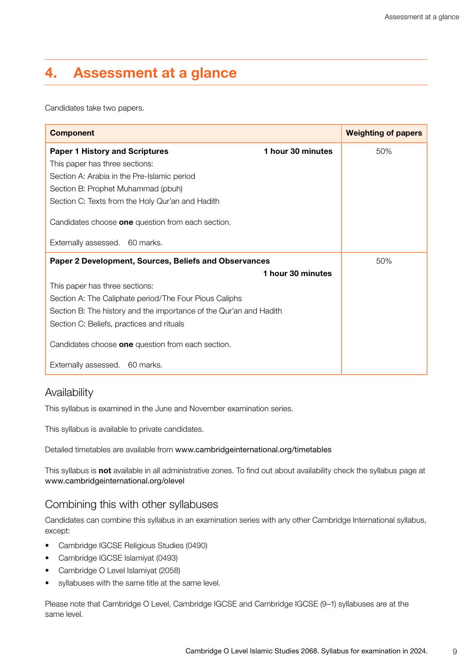## <span id="page-8-0"></span>4. Assessment at a glance

Candidates take two papers.

| <b>Component</b>                                                   |                   | <b>Weighting of papers</b> |
|--------------------------------------------------------------------|-------------------|----------------------------|
| <b>Paper 1 History and Scriptures</b>                              | 1 hour 30 minutes | 50%                        |
| This paper has three sections:                                     |                   |                            |
| Section A: Arabia in the Pre-Islamic period                        |                   |                            |
| Section B: Prophet Muhammad (pbuh)                                 |                   |                            |
| Section C: Texts from the Holy Qur'an and Hadith                   |                   |                            |
| Candidates choose one question from each section.                  |                   |                            |
| Externally assessed. 60 marks.                                     |                   |                            |
| Paper 2 Development, Sources, Beliefs and Observances              | 50%               |                            |
|                                                                    | 1 hour 30 minutes |                            |
| This paper has three sections:                                     |                   |                            |
| Section A: The Caliphate period/The Four Pious Caliphs             |                   |                            |
| Section B: The history and the importance of the Qur'an and Hadith |                   |                            |
| Section C: Beliefs, practices and rituals                          |                   |                            |
| Candidates choose <b>one</b> question from each section.           |                   |                            |
| Externally assessed. 60 marks.                                     |                   |                            |

#### Availability

This syllabus is examined in the June and November examination series.

This syllabus is available to private candidates.

Detailed timetables are available from www.cambridgeinternational.org/timetables

This syllabus is not available in all administrative zones. To find out about availability check the syllabus page at www.cambridgeinternational.org/olevel

#### Combining this with other syllabuses

Candidates can combine this syllabus in an examination series with any other Cambridge International syllabus, except:

- Cambridge IGCSE Religious Studies (0490)
- Cambridge IGCSE Islamiyat (0493)
- Cambridge O Level Islamiyat (2058)
- syllabuses with the same title at the same level.

Please note that Cambridge O Level, Cambridge IGCSE and Cambridge IGCSE (9–1) syllabuses are at the same level.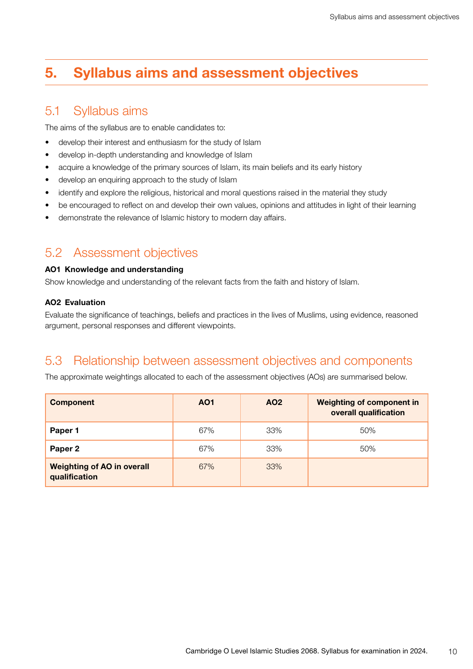## <span id="page-9-0"></span>5. Syllabus aims and assessment objectives

### 5.1 Syllabus aims

The aims of the syllabus are to enable candidates to:

- develop their interest and enthusiasm for the study of Islam
- develop in-depth understanding and knowledge of Islam
- acquire a knowledge of the primary sources of Islam, its main beliefs and its early history
- develop an enquiring approach to the study of Islam
- identify and explore the religious, historical and moral questions raised in the material they study
- be encouraged to reflect on and develop their own values, opinions and attitudes in light of their learning
- demonstrate the relevance of Islamic history to modern day affairs.

#### 5.2 Assessment objectives

#### AO1 Knowledge and understanding

Show knowledge and understanding of the relevant facts from the faith and history of Islam.

#### AO2 Evaluation

Evaluate the significance of teachings, beliefs and practices in the lives of Muslims, using evidence, reasoned argument, personal responses and different viewpoints.

### 5.3 Relationship between assessment objectives and components

The approximate weightings allocated to each of the assessment objectives (AOs) are summarised below.

| <b>Component</b>                                   | AO <sub>1</sub> | AO <sub>2</sub> | <b>Weighting of component in</b><br>overall qualification |
|----------------------------------------------------|-----------------|-----------------|-----------------------------------------------------------|
| Paper 1                                            | 67%             | 33%             | 50%                                                       |
| Paper 2                                            | 67%             | 33%             | 50%                                                       |
| <b>Weighting of AO in overall</b><br>qualification | 67%             | 33%             |                                                           |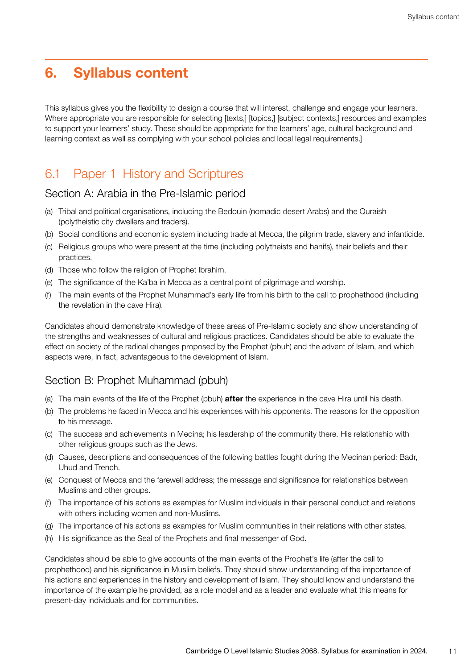### <span id="page-10-0"></span>6. Syllabus content

This syllabus gives you the flexibility to design a course that will interest, challenge and engage your learners. Where appropriate you are responsible for selecting [texts,] [topics,] [subject contexts,] resources and examples to support your learners' study. These should be appropriate for the learners' age, cultural background and learning context as well as complying with your school policies and local legal requirements.]

### 6.1 Paper 1 History and Scriptures

#### Section A: Arabia in the Pre-Islamic period

- (a) Tribal and political organisations, including the Bedouin (nomadic desert Arabs) and the Quraish (polytheistic city dwellers and traders).
- (b) Social conditions and economic system including trade at Mecca, the pilgrim trade, slavery and infanticide.
- (c) Religious groups who were present at the time (including polytheists and hanifs), their beliefs and their practices.
- (d) Those who follow the religion of Prophet Ibrahim.
- (e) The significance of the Ka'ba in Mecca as a central point of pilgrimage and worship.
- (f) The main events of the Prophet Muhammad's early life from his birth to the call to prophethood (including the revelation in the cave Hira).

Candidates should demonstrate knowledge of these areas of Pre-Islamic society and show understanding of the strengths and weaknesses of cultural and religious practices. Candidates should be able to evaluate the effect on society of the radical changes proposed by the Prophet (pbuh) and the advent of Islam, and which aspects were, in fact, advantageous to the development of Islam.

#### Section B: Prophet Muhammad (pbuh)

- (a) The main events of the life of the Prophet (pbuh) **after** the experience in the cave Hira until his death.
- (b) The problems he faced in Mecca and his experiences with his opponents. The reasons for the opposition to his message.
- (c) The success and achievements in Medina; his leadership of the community there. His relationship with other religious groups such as the Jews.
- (d) Causes, descriptions and consequences of the following battles fought during the Medinan period: Badr, Uhud and Trench.
- (e) Conquest of Mecca and the farewell address; the message and significance for relationships between Muslims and other groups.
- (f) The importance of his actions as examples for Muslim individuals in their personal conduct and relations with others including women and non-Muslims.
- (g) The importance of his actions as examples for Muslim communities in their relations with other states.
- (h) His significance as the Seal of the Prophets and final messenger of God.

Candidates should be able to give accounts of the main events of the Prophet's life (after the call to prophethood) and his significance in Muslim beliefs. They should show understanding of the importance of his actions and experiences in the history and development of Islam. They should know and understand the importance of the example he provided, as a role model and as a leader and evaluate what this means for present-day individuals and for communities.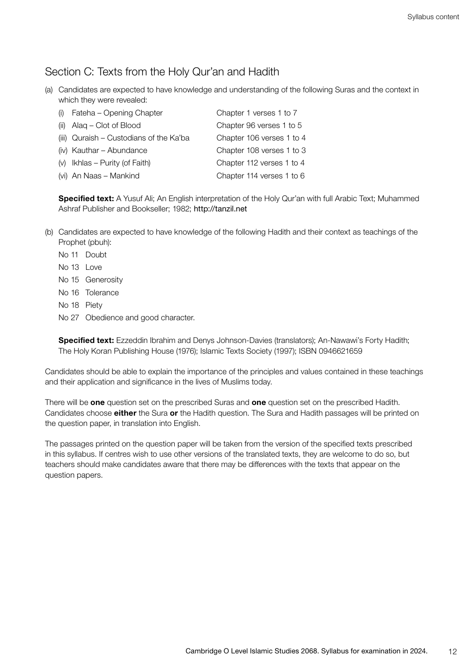#### Section C: Texts from the Holy Qur'an and Hadith

(a) Candidates are expected to have knowledge and understanding of the following Suras and the context in which they were revealed:

| (i) Fateha - Opening Chapter              | Chapter 1 verses 1 to 7   |
|-------------------------------------------|---------------------------|
| (ii) $\text{Alaq} - \text{Clot of Blood}$ | Chapter 96 verses 1 to 5  |
| (iii) Quraish - Custodians of the Ka'ba   | Chapter 106 verses 1 to 4 |
| (iv) Kauthar - Abundance                  | Chapter 108 verses 1 to 3 |
| $(v)$ Ikhlas – Purity (of Faith)          | Chapter 112 verses 1 to 4 |
| (vi) An Naas - Mankind                    | Chapter 114 verses 1 to 6 |

Specified text: A Yusuf Ali; An English interpretation of the Holy Qur'an with full Arabic Text; Muhammed Ashraf Publisher and Bookseller; 1982; http://tanzil.net

- (b) Candidates are expected to have knowledge of the following Hadith and their context as teachings of the Prophet (pbuh):
	- No 11 Doubt
	- No 13 Love
	- No 15 Generosity
	- No 16 Tolerance
	- No 18 Piety
	- No 27 Obedience and good character.

Specified text: Ezzeddin Ibrahim and Denys Johnson-Davies (translators); An-Nawawi's Forty Hadith; The Holy Koran Publishing House (1976); Islamic Texts Society (1997); ISBN 0946621659

Candidates should be able to explain the importance of the principles and values contained in these teachings and their application and significance in the lives of Muslims today.

There will be one question set on the prescribed Suras and one question set on the prescribed Hadith. Candidates choose either the Sura or the Hadith question. The Sura and Hadith passages will be printed on the question paper, in translation into English.

The passages printed on the question paper will be taken from the version of the specified texts prescribed in this syllabus. If centres wish to use other versions of the translated texts, they are welcome to do so, but teachers should make candidates aware that there may be differences with the texts that appear on the question papers.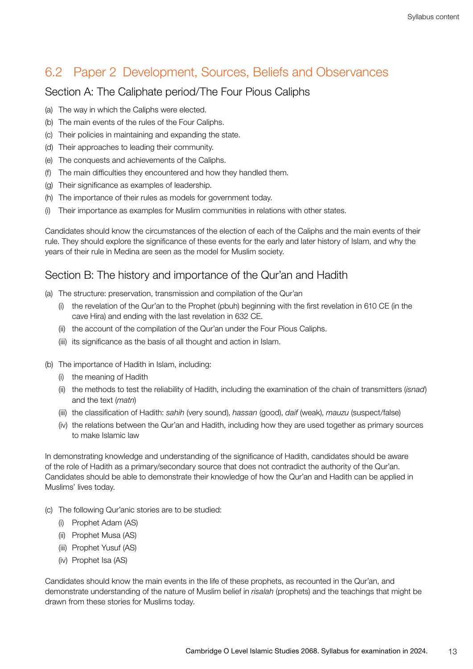### <span id="page-12-0"></span>6.2 Paper 2 Development, Sources, Beliefs and Observances

#### Section A: The Caliphate period/The Four Pious Caliphs

- (a) The way in which the Caliphs were elected.
- (b) The main events of the rules of the Four Caliphs.
- (c) Their policies in maintaining and expanding the state.
- (d) Their approaches to leading their community.
- (e) The conquests and achievements of the Caliphs.
- (f) The main difficulties they encountered and how they handled them.
- (g) Their significance as examples of leadership.
- (h) The importance of their rules as models for government today.
- (i) Their importance as examples for Muslim communities in relations with other states.

Candidates should know the circumstances of the election of each of the Caliphs and the main events of their rule. They should explore the significance of these events for the early and later history of Islam, and why the years of their rule in Medina are seen as the model for Muslim society.

### Section B: The history and importance of the Qur'an and Hadith

- (a) The structure: preservation, transmission and compilation of the Qur'an
	- (i) the revelation of the Qur'an to the Prophet (pbuh) beginning with the first revelation in 610 CE (in the cave Hira) and ending with the last revelation in 632 CE.
	- (ii) the account of the compilation of the Qur'an under the Four Pious Caliphs.
	- (iii) its significance as the basis of all thought and action in Islam.
- (b) The importance of Hadith in Islam, including:
	- (i) the meaning of Hadith
	- (ii) the methods to test the reliability of Hadith, including the examination of the chain of transmitters (*isnad*) and the text (*matn*)
	- (iii) the classification of Hadith: *sahih* (very sound), *hassan* (good), *daif* (weak), *mauzu* (suspect/false)
	- (iv) the relations between the Qur'an and Hadith, including how they are used together as primary sources to make Islamic law

In demonstrating knowledge and understanding of the significance of Hadith, candidates should be aware of the role of Hadith as a primary/secondary source that does not contradict the authority of the Qur'an. Candidates should be able to demonstrate their knowledge of how the Qur'an and Hadith can be applied in Muslims' lives today.

- (c) The following Qur'anic stories are to be studied:
	- (i) Prophet Adam (AS)
	- (ii) Prophet Musa (AS)
	- (iii) Prophet Yusuf (AS)
	- (iv) Prophet Isa (AS)

Candidates should know the main events in the life of these prophets, as recounted in the Qur'an, and demonstrate understanding of the nature of Muslim belief in *risalah* (prophets) and the teachings that might be drawn from these stories for Muslims today.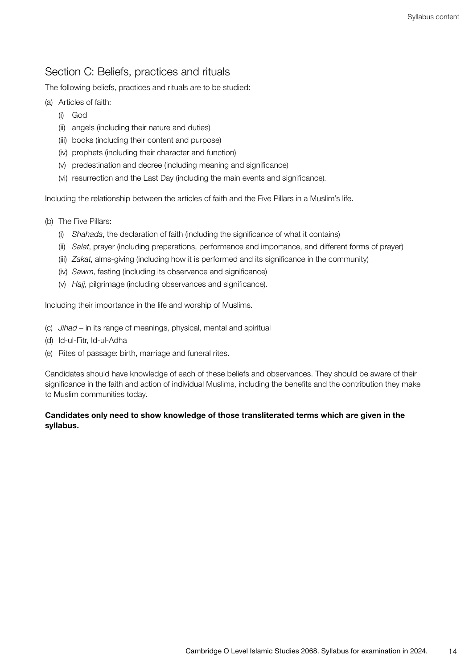### Section C: Beliefs, practices and rituals

The following beliefs, practices and rituals are to be studied:

- (a) Articles of faith:
	- (i) God
	- (ii) angels (including their nature and duties)
	- (iii) books (including their content and purpose)
	- (iv) prophets (including their character and function)
	- (v) predestination and decree (including meaning and significance)
	- (vi) resurrection and the Last Day (including the main events and significance).

Including the relationship between the articles of faith and the Five Pillars in a Muslim's life.

- (b) The Five Pillars:
	- (i) *Shahada*, the declaration of faith (including the significance of what it contains)
	- (ii) *Salat*, prayer (including preparations, performance and importance, and different forms of prayer)
	- (iii) *Zakat*, alms-giving (including how it is performed and its significance in the community)
	- (iv) *Sawm*, fasting (including its observance and significance)
	- (v) *Hajj*, pilgrimage (including observances and significance).

Including their importance in the life and worship of Muslims.

- (c) *Jihad* in its range of meanings, physical, mental and spiritual
- (d) Id-ul-Fitr, Id-ul-Adha
- (e) Rites of passage: birth, marriage and funeral rites.

Candidates should have knowledge of each of these beliefs and observances. They should be aware of their significance in the faith and action of individual Muslims, including the benefits and the contribution they make to Muslim communities today.

#### Candidates only need to show knowledge of those transliterated terms which are given in the syllabus.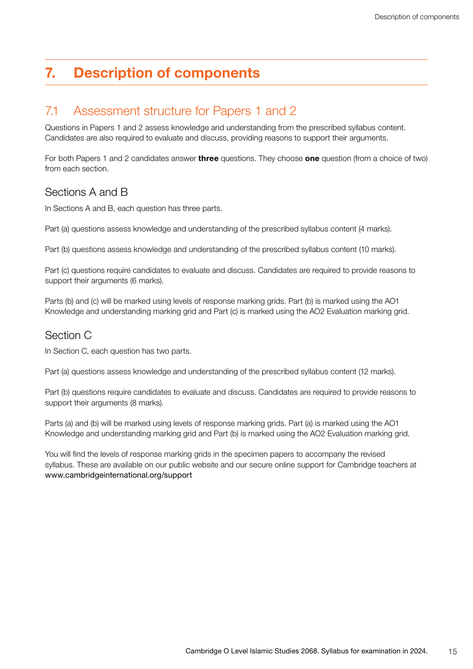## <span id="page-14-0"></span>7. Description of components

#### 7.1 Assessment structure for Papers 1 and 2

Questions in Papers 1 and 2 assess knowledge and understanding from the prescribed syllabus content. Candidates are also required to evaluate and discuss, providing reasons to support their arguments.

For both Papers 1 and 2 candidates answer **three** questions. They choose **one** question (from a choice of two) from each section.

#### Sections A and B

In Sections A and B, each question has three parts.

Part (a) questions assess knowledge and understanding of the prescribed syllabus content (4 marks).

Part (b) questions assess knowledge and understanding of the prescribed syllabus content (10 marks).

Part (c) questions require candidates to evaluate and discuss. Candidates are required to provide reasons to support their arguments (6 marks).

Parts (b) and (c) will be marked using levels of response marking grids. Part (b) is marked using the AO1 Knowledge and understanding marking grid and Part (c) is marked using the AO2 Evaluation marking grid.

#### Section C

In Section C, each question has two parts.

Part (a) questions assess knowledge and understanding of the prescribed syllabus content (12 marks).

Part (b) questions require candidates to evaluate and discuss. Candidates are required to provide reasons to support their arguments (8 marks).

Parts (a) and (b) will be marked using levels of response marking grids. Part (a) is marked using the AO1 Knowledge and understanding marking grid and Part (b) is marked using the AO2 Evaluation marking grid.

You will find the levels of response marking grids in the specimen papers to accompany the revised syllabus. These are available on our public website and our secure online support for Cambridge teachers at www.cambridgeinternational.org/support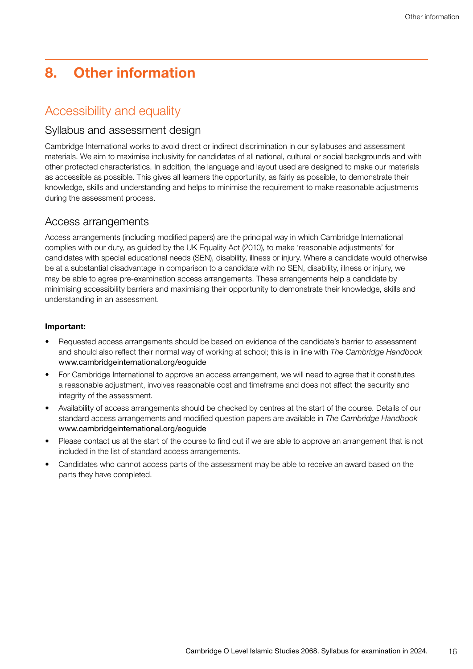## <span id="page-15-0"></span>8. Other information

### Accessibility and equality

#### Syllabus and assessment design

Cambridge International works to avoid direct or indirect discrimination in our syllabuses and assessment materials. We aim to maximise inclusivity for candidates of all national, cultural or social backgrounds and with other protected characteristics. In addition, the language and layout used are designed to make our materials as accessible as possible. This gives all learners the opportunity, as fairly as possible, to demonstrate their knowledge, skills and understanding and helps to minimise the requirement to make reasonable adjustments during the assessment process.

#### Access arrangements

Access arrangements (including modified papers) are the principal way in which Cambridge International complies with our duty, as guided by the UK Equality Act (2010), to make 'reasonable adjustments' for candidates with special educational needs (SEN), disability, illness or injury. Where a candidate would otherwise be at a substantial disadvantage in comparison to a candidate with no SEN, disability, illness or injury, we may be able to agree pre-examination access arrangements. These arrangements help a candidate by minimising accessibility barriers and maximising their opportunity to demonstrate their knowledge, skills and understanding in an assessment.

#### Important:

- Requested access arrangements should be based on evidence of the candidate's barrier to assessment and should also reflect their normal way of working at school; this is in line with *The Cambridge Handbook* www.cambridgeinternational.org/eoguide
- For Cambridge International to approve an access arrangement, we will need to agree that it constitutes a reasonable adjustment, involves reasonable cost and timeframe and does not affect the security and integrity of the assessment.
- Availability of access arrangements should be checked by centres at the start of the course. Details of our standard access arrangements and modified question papers are available in *The Cambridge Handbook* www.cambridgeinternational.org/eoguide
- Please contact us at the start of the course to find out if we are able to approve an arrangement that is not included in the list of standard access arrangements.
- Candidates who cannot access parts of the assessment may be able to receive an award based on the parts they have completed.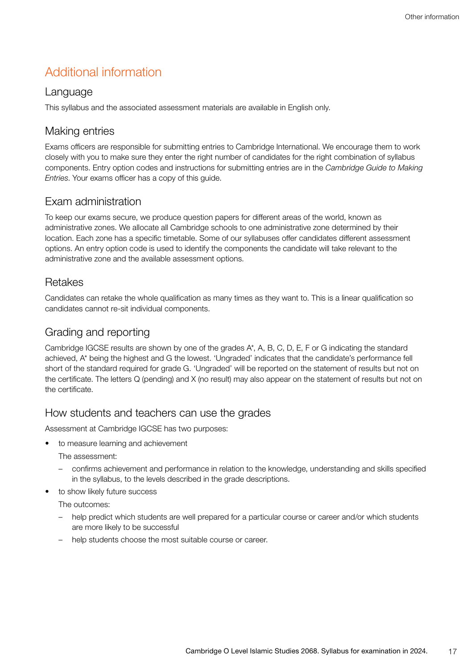## <span id="page-16-0"></span>Additional information

#### Language

This syllabus and the associated assessment materials are available in English only.

#### Making entries

Exams officers are responsible for submitting entries to Cambridge International. We encourage them to work closely with you to make sure they enter the right number of candidates for the right combination of syllabus components. Entry option codes and instructions for submitting entries are in the *Cambridge Guide to Making Entries*. Your exams officer has a copy of this guide.

#### Exam administration

To keep our exams secure, we produce question papers for different areas of the world, known as administrative zones. We allocate all Cambridge schools to one administrative zone determined by their location. Each zone has a specific timetable. Some of our syllabuses offer candidates different assessment options. An entry option code is used to identify the components the candidate will take relevant to the administrative zone and the available assessment options.

#### Retakes

Candidates can retake the whole qualification as many times as they want to. This is a linear qualification so candidates cannot re-sit individual components.

#### Grading and reporting

Cambridge IGCSE results are shown by one of the grades A\*, A, B, C, D, E, F or G indicating the standard achieved, A\* being the highest and G the lowest. 'Ungraded' indicates that the candidate's performance fell short of the standard required for grade G. 'Ungraded' will be reported on the statement of results but not on the certificate. The letters Q (pending) and X (no result) may also appear on the statement of results but not on the certificate.

#### How students and teachers can use the grades

Assessment at Cambridge IGCSE has two purposes:

• to measure learning and achievement

The assessment:

- confirms achievement and performance in relation to the knowledge, understanding and skills specified in the syllabus, to the levels described in the grade descriptions.
- to show likely future success

The outcomes:

- help predict which students are well prepared for a particular course or career and/or which students are more likely to be successful
- help students choose the most suitable course or career.